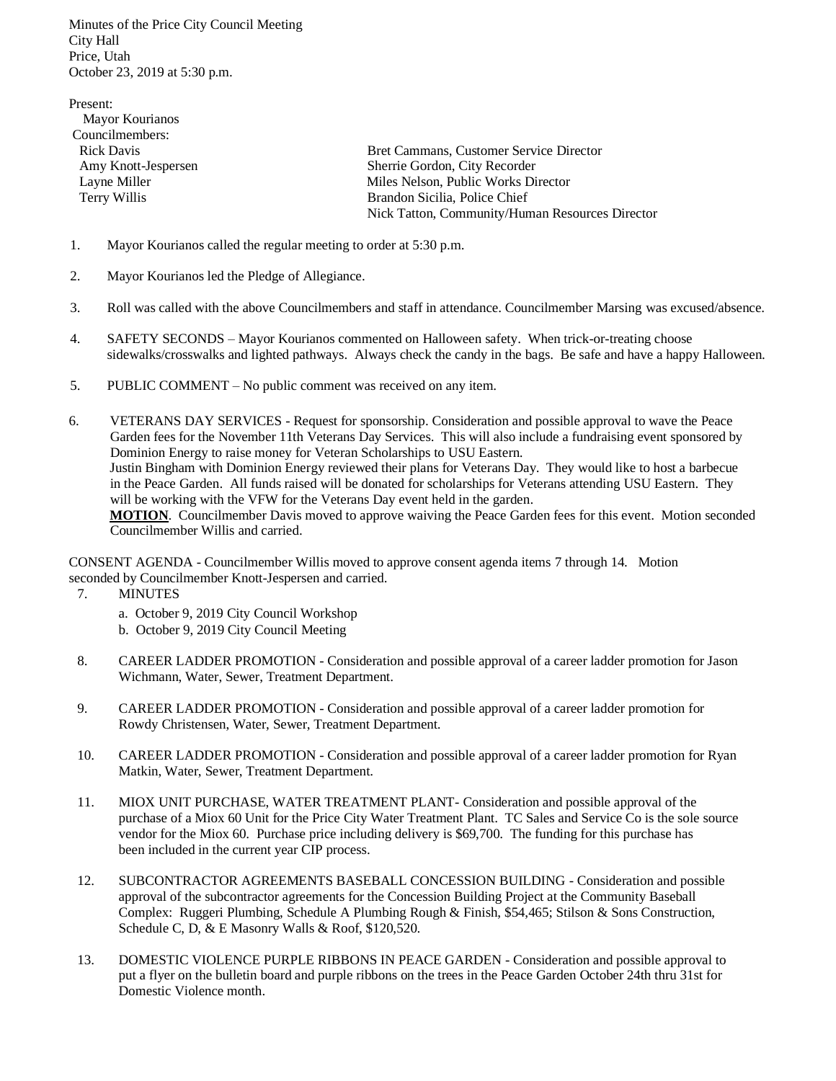Minutes of the Price City Council Meeting City Hall Price, Utah October 23, 2019 at 5:30 p.m.

Present: Mayor Kourianos Councilmembers: Rick Davis Bret Cammans, Customer Service Director Amy Knott-Jespersen Sherrie Gordon, City Recorder Layne Miller Milles Nelson, Public Works Director Terry Willis Brandon Sicilia, Police Chief Nick Tatton, Community/Human Resources Director

- 1. Mayor Kourianos called the regular meeting to order at 5:30 p.m.
- 2. Mayor Kourianos led the Pledge of Allegiance.
- 3. Roll was called with the above Councilmembers and staff in attendance. Councilmember Marsing was excused/absence.
- 4. SAFETY SECONDS Mayor Kourianos commented on Halloween safety. When trick-or-treating choose sidewalks/crosswalks and lighted pathways. Always check the candy in the bags. Be safe and have a happy Halloween.
- 5. PUBLIC COMMENT No public comment was received on any item.
- 6. VETERANS DAY SERVICES Request for sponsorship. Consideration and possible approval to wave the Peace Garden fees for the November 11th Veterans Day Services. This will also include a fundraising event sponsored by Dominion Energy to raise money for Veteran Scholarships to USU Eastern. Justin Bingham with Dominion Energy reviewed their plans for Veterans Day. They would like to host a barbecue in the Peace Garden. All funds raised will be donated for scholarships for Veterans attending USU Eastern. They will be working with the VFW for the Veterans Day event held in the garden. **MOTION**. Councilmember Davis moved to approve waiving the Peace Garden fees for this event. Motion seconded Councilmember Willis and carried.

CONSENT AGENDA - Councilmember Willis moved to approve consent agenda items 7 through 14. Motion seconded by Councilmember Knott-Jespersen and carried.

- 7. MINUTES
	- a. October 9, 2019 City Council Workshop
	- b. October 9, 2019 City Council Meeting
- 8. CAREER LADDER PROMOTION Consideration and possible approval of a career ladder promotion for Jason Wichmann, Water, Sewer, Treatment Department.
- 9. CAREER LADDER PROMOTION Consideration and possible approval of a career ladder promotion for Rowdy Christensen, Water, Sewer, Treatment Department.
- 10. CAREER LADDER PROMOTION Consideration and possible approval of a career ladder promotion for Ryan Matkin, Water, Sewer, Treatment Department.
- 11. MIOX UNIT PURCHASE, WATER TREATMENT PLANT- Consideration and possible approval of the purchase of a Miox 60 Unit for the Price City Water Treatment Plant. TC Sales and Service Co is the sole source vendor for the Miox 60. Purchase price including delivery is \$69,700. The funding for this purchase has been included in the current year CIP process.
- 12. SUBCONTRACTOR AGREEMENTS BASEBALL CONCESSION BUILDING Consideration and possible approval of the subcontractor agreements for the Concession Building Project at the Community Baseball Complex: Ruggeri Plumbing, Schedule A Plumbing Rough & Finish, \$54,465; Stilson & Sons Construction, Schedule C, D, & E Masonry Walls & Roof, \$120,520.
- 13. DOMESTIC VIOLENCE PURPLE RIBBONS IN PEACE GARDEN Consideration and possible approval to put a flyer on the bulletin board and purple ribbons on the trees in the Peace Garden October 24th thru 31st for Domestic Violence month.